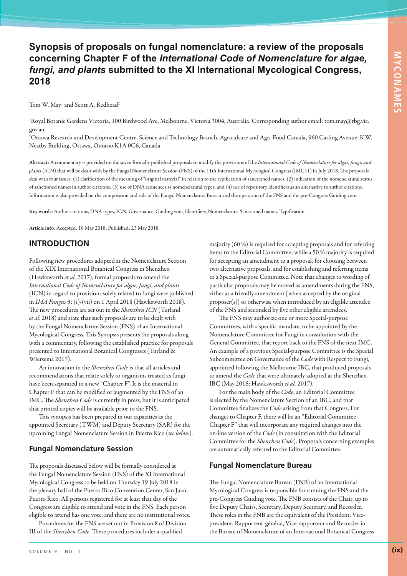**Synopsis of proposals on fungal nomenclature: a review of the proposals concerning Chapter F of the** *International Code of Nomenclature for algae, fungi, and plants* **submitted to the XI International Mycological Congress, 2018**

Tom W. May<sup>1</sup> and Scott A. Redhead<sup>2</sup>

1 Royal Botanic Gardens Victoria, 100 Birdwood Ave, Melbourne, Victoria 3004, Australia. Corresponding author email: tom.may@rbg.vic. gov.au

2 Ottawa Research and Development Centre, Science and Technology Branch, Agriculture and Agri-Food Canada, 960 Carling Avenue, K.W. Neatby Building, Ottawa, Ontario K1A 0C6, Canada

**Abstract:** A commentary is provided on the seven formally published proposals to modify the provisions of the *International Code of Nomenclature for algae, fungi, and plants* (ICN) that will be dealt with by the Fungal Nomenclature Session (FNS) of the 11th International Mycological Congress (IMC11) in July 2018. The proposals deal with four issues: (1) clarification of the meaning of "original material" in relation to the typification of sanctioned names; (2) indication of the nomenclatural status of sanctioned names in author citations; (3) use of DNA sequences as nomenclatural types; and (4) use of repository identifiers as an alternative to author citations. Information is also provided on the composition and role of the Fungal Nomenclature Bureau and the operation of the FNS and the pre-Congress Guiding vote.

**Key words**: Author citations, DNA types, ICN, Governance, Guiding vote, Identifiers, Nomenclature, Sanctioned names, Typification.

**Article info**: Accepted: 18 May 2018; Published: 23 May 2018.

### **INTRODUCTION**

Following new procedures adopted at the Nomenclature Section of the XIX International Botanical Congress in Shenzhen (Hawksworth *et al.* 2017), formal proposals to amend the *International Code of Nomenclature for algae, fungi, and plants* (ICN) in regard to provisions solely related to fungi were published in *IMA Fungus* **9**: (i)-(vii) on 1 April 2018 (Hawksworth 2018). The new procedures are set out in the *Shenzhen ICN* (Turland *et al*. 2018) and state that such proposals are to be dealt with by the Fungal Nomenclature Session (FNS) of an International Mycological Congress. This Synopsis presents the proposals along with a commentary, following the established practice for proposals presented to International Botanical Congresses (Turland & Wiersema 2017).

An innovation in the *Shenzhen Code* is that all articles and recommendations that relate solely to organisms treated as fungi have been separated in a new "Chapter F". It is the material in Chapter F that can be modified or augmented by the FNS of an IMC. The *Shenzhen Code* is currently in press, but it is anticipated that printed copies will be available prior to the FNS.

This synopsis has been prepared in our capacities as the appointed Secretary (TWM) and Deputy Secretary (SAR) for the upcoming Fungal Nomenclature Session in Puerto Rico (*see below*).

#### **Fungal Nomenclature Session**

The proposals discussed below will be formally considered at the Fungal Nomenclature Session (FNS) of the XI International Mycological Congress to be held on Thursday 19 July 2018 in the plenary hall of the Puerto Rico Convention Center, San Juan, Puerto Rico. All persons registered for at least that day of the Congress are eligible to attend and vote in the FNS. Each person eligible to attend has one vote, and there are no institutional votes.

Procedures for the FNS are set out in Provision 8 of Division III of the *Shenzhen Code*. These procedures include: a qualified

majority (60 %) is required for accepting proposals and for referring items to the Editorial Committee; while a 50 % majority is required for accepting an amendment to a proposal, for choosing between two alternative proposals, and for establishing and referring items to a Special-purpose Committee. Note that changes to wording of particular proposals may be moved as amendments during the FNS, either as a friendly amendment [when accepted by the original proposer(s)] or otherwise when introduced by an eligible attendee of the FNS and seconded by five other eligible attendees.

The FNS may authorize one or more Special-purpose Committees, with a specific mandate, to be appointed by the Nomenclature Committee for Fungi in consultation with the General Committee, that report back to the FNS of the next IMC. An example of a previous Special-purpose Committee is the Special Subcommittee on Governance of the *Code* with Respect to Fungi, appointed following the Melbourne IBC, that produced proposals to amend the *Code* that were ultimately adopted at the Shenzhen IBC (May 2016; Hawksworth *et al.* 2017).

For the main body of the *Code*, an Editorial Committee is elected by the Nomenclature Section of an IBC, and that Committee finalizes the *Code* arising from that Congress. For changes to Chapter F, there will be an "Editorial Committee - Chapter F" that will incorporate any required changes into the on-line version of the *Code* (in consultation with the Editorial Committee for the *Shenzhen Code*). Proposals concerning examples are automatically referred to the Editorial Committee.

#### **Fungal Nomenclature Bureau**

The Fungal Nomenclature Bureau (FNB) of an International Mycological Congress is responsible for running the FNS and the pre-Congress Guiding vote. The FNB consists of the Chair, up to five Deputy Chairs, Secretary, Deputy Secretary, and Recorder. These roles in the FNB are the equivalent of the President, Vicepresident, Rapporteur-général, Vice-rapporteur and Recorder in the Bureau of Nomenclature of an International Botanical Congress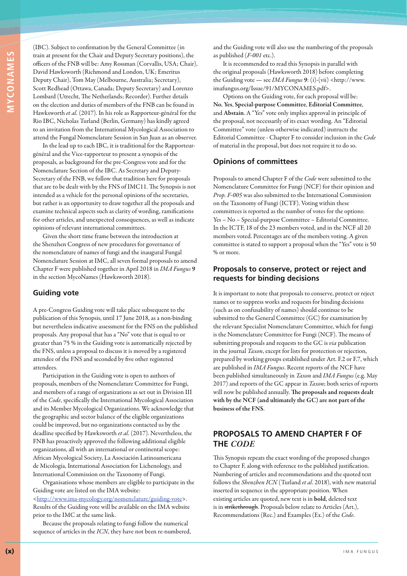(IBC). Subject to confirmation by the General Committee (in train at present for the Chair and Deputy Secretary positions), the officers of the FNB will be: Amy Rossman (Corvallis, USA; Chair), David Hawksworth (Richmond and London, UK; Emeritus Deputy Chair), Tom May (Melbourne, Australia; Secretary), Scott Redhead (Ottawa, Canada; Deputy Secretary) and Lorenzo Lombard (Utrecht, The Netherlands; Recorder). Further details on the election and duties of members of the FNB can be found in Hawksworth *et al.* (2017). In his role as Rapporteur-général for the Rio IBC, Nicholas Turland (Berlin, Germany) has kindly agreed to an invitation from the International Mycological Association to attend the Fungal Nomenclature Session in San Juan as an observer.

In the lead up to each IBC, it is traditional for the Rapporteurgénéral and the Vice-rapporteur to present a synopsis of the proposals, as background for the pre-Congress vote and for the Nomenclature Section of the IBC. As Secretary and Deputy-Secretary of the FNB, we follow that tradition here for proposals that are to be dealt with by the FNS of IMC11. The Synopsis is not intended as a vehicle for the personal opinions of the secretaries, but rather is an opportunity to draw together all the proposals and examine technical aspects such as clarity of wording, ramifications for other articles, and unexpected consequences, as well as indicate opinions of relevant international committees.

Given the short time frame between the introduction at the Shenzhen Congress of new procedures for governance of the nomenclature of names of fungi and the inaugural Fungal Nomenclature Session at IMC, all seven formal proposals to amend Chapter F were published together in April 2018 in *IMA Fungus* **9** in the section MycoNames (Hawksworth 2018).

## **Guiding vote**

A pre-Congress Guiding vote will take place subsequent to the publication of this Synopsis, until 17 June 2018, as a non-binding but nevertheless indicative assessment for the FNS on the published proposals. Any proposal that has a "No" vote that is equal to or greater than 75 % in the Guiding vote is automatically rejected by the FNS, unless a proposal to discuss it is moved by a registered attendee of the FNS and seconded by five other registered attendees.

Participation in the Guiding vote is open to authors of proposals, members of the Nomenclature Committee for Fungi, and members of a range of organizations as set out in Division III of the *Code*, specifically the International Mycological Association and its Member Mycological Organizations. We acknowledge that the geographic and sector balance of the eligible organizations could be improved, but no organizations contacted us by the deadline specified by Hawksworth *et al.* (2017). Nevertheless, the FNB has proactively approved the following additional eligible organizations, all with an international or continental scope: African Mycological Society, La Asociación Latinoamericana de Micología, International Association for Lichenology, and International Commission on the Taxonomy of Fungi.

Organisations whose members are eligible to participate in the Guiding vote are listed on the IMA website:

<http://www.ima-mycology.org/nomenclature/guiding-vote>. Results of the Guiding vote will be available on the IMA website prior to the IMC at the same link.

Because the proposals relating to fungi follow the numerical sequence of articles in the *ICN*, they have not been re-numbered, and the Guiding vote will also use the numbering of the proposals as published (*F-001* etc.).

It is recommended to read this Synopsis in parallel with the original proposals (Hawksworth 2018) before completing the Guiding vote — see *IMA Fungus* **9**: (i)-(vii) <http://www. imafungus.org/Issue/91/MYCONAMES.pdf>.

Options on the Guiding vote, for each proposal will be: **No**, **Yes**, **Special-purpose Committee**, **Editorial Committee**, and **Abstain**. A "Yes" vote only implies approval in principle of the proposal, not necessarily of its exact wording. An "Editorial Committee" vote (unless otherwise indicated) instructs the Editorial Committee - Chapter F to consider inclusion in the *Code* of material in the proposal, but does not require it to do so.

## **Opinions of committees**

Proposals to amend Chapter F of the *Code* were submitted to the Nomenclature Committee for Fungi (NCF) for their opinion and *Prop. F-005* was also submitted to the International Commission on the Taxonomy of Fungi (ICTF). Voting within these committees is reported as the number of votes for the options: Yes – No – Special-purpose Committee – Editorial Committee. In the ICTF, 18 of the 23 members voted, and in the NCF all 20 members voted. Percentages are of the members voting. A given committee is stated to support a proposal when the "Yes" vote is 50 % or more.

### **Proposals to conserve, protect or reject and requests for binding decisions**

It is important to note that proposals to conserve, protect or reject names or to suppress works and requests for binding decisions (such as on confusability of names) should continue to be submitted to the General Committee (GC) for examination by the relevant Specialist Nomenclature Committee, which for fungi is the Nomenclature Committee for Fungi (NCF). The means of submitting proposals and requests to the GC is *via* publication in the journal *Taxon*, except for lists for protection or rejection, prepared by working groups established under Art. F.2 or F.7, which are published in *IMA Fungus*. Recent reports of the NCF have been published simultaneously in *Taxon* and *IMA Fungus* (e.g. May 2017) and reports of the GC appear in *Taxon*; both series of reports will now be published annually. **The proposals and requests dealt with by the NCF (and ultimately the GC) are not part of the business of the FNS**.

## **PROPOSALS TO AMEND CHAPTER F OF THE** *CODE*

This Synopsis repeats the exact wording of the proposed changes to Chapter F, along with reference to the published justification. Numbering of articles and recommendations and the quoted text follows the *Shenzhen ICN* (Turland *et al*. 2018), with new material inserted in sequence in the appropriate position. When existing articles are quoted, new text is in **bold**, deleted text is in strikethrough. Proposals below relate to Articles (Art.), Recommendations (Rec.) and Examples (Ex.) of the *Code*.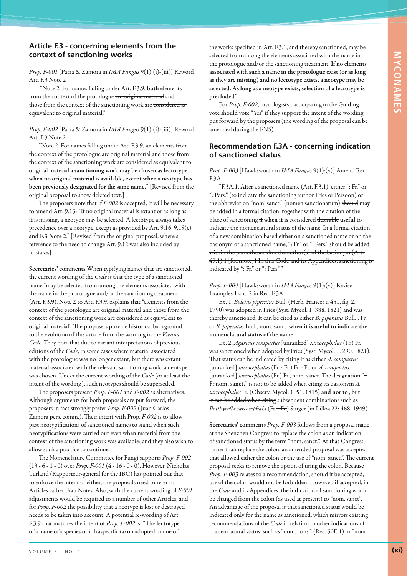## **Article F.3 - concerning elements from the context of sanctioning works**

#### *Prop. F-001* [Parra & Zamora in *IMA Fungus* 9(1):(i)-(iii)] Reword Art. F.3 Note 2

 "Note 2. For names falling under Art. F.3.9, **both** elements from the context of the protologue are original material and those from the context of the sanctioning work are considered as equivalent to original material."

#### *Prop. F-002* [Parra & Zamora in *IMA Fungus* 9(1):(i)-(iii)] Reword Art. F.3 Note 2

"Note 2. For names falling under Art. F.3.9, **an** elements from the context of the protologue are original material and those from the context of the sanctioning work are considered as equivalent to original material **a sanctioning work may be chosen as lectotype when no original material is available, except when a neotype has been previously designated for the same name.**" [Revised from the original proposal to show deleted text.]

The proposers note that If *F-002* is accepted, it will be necessary to amend Art. 9.13: "If no original material is extant or as long as it is missing, a neotype may be selected. A lectotype always takes precedence over a neotype, except as provided by Art. 9.16, 9.19(c) **and F.3 Note 2**." [Revised from the original proposal, where a reference to the need to change Art. 9.12 was also included by mistake.]

**Secretaries' comments** When typifying names that are sanctioned, the current wording of the *Code* is that the type of a sanctioned name "may be selected from among the elements associated with the name in the protologue and/or the sanctioning treatment" (Art. F.3.9). Note 2 to Art. F.3.9. explains that "elements from the context of the protologue are original material and those from the context of the sanctioning work are considered as equivalent to original material". The proposers provide historical background to the evolution of this article from the wording in the *Vienna Code*. They note that due to variant interpretations of previous editions of the *Code*, in some cases where material associated with the protologue was no longer extant, but there was extant material associated with the relevant sanctioning work, a neotype was chosen. Under the current wording of the *Code* (or at least the intent of the wording), such neotypes should be superseded.

The proposers present *Prop. F-001* and *F-002* as alternatives. Although arguments for both proposals are put forward, the proposers in fact strongly prefer *Prop. F-002* ( Juan Carlos Zamora pers. comm.). Their intent with Prop. *F-002* is to allow past neotypifications of sanctioned names to stand when such neotypifications were carried out even when material from the context of the sanctioning work was available; and they also wish to allow such a practice to continue.

The Nomenclature Committee for Fungi supports *Prop. F-002* (13 - 6 - 1 - 0) over *Prop. F-001* (4 - 16 - 0 - 0). However, Nicholas Turland (Rapporteur-général for the IBC) has pointed out that to enforce the intent of either, the proposals need to refer to Articles rather than Notes. Also, with the current wording of *F-001* adjustments would be required to a number of other Articles, and for *Prop. F-002* the possibility that a neotype is lost or destroyed needs to be taken into account. A potential re-wording of Art. F.3.9 that matches the intent of *Prop. F-002* is: "The **lecto**type of a name of a species or infraspecific taxon adopted in one of

the works specified in Art. F.3.1, and thereby sanctioned, may be selected from among the elements associated with the name in the protologue and/or the sanctioning treatment. **If no elements associated with such a name in the protologue exist (or as long as they are missing) and no lectotype exists, a neotype may be selected. As long as a neotype exists, selection of a lectotype is precluded**".

For *Prop. F-002*, mycologists participating in the Guiding vote should vote "Yes" if they support the intent of the wording put forward by the proposers (the wording of the proposal can be amended during the FNS).

### **Recommendation F.3A - concerning indication of sanctioned status**

#### *Prop. F-003* [Hawksworth in *IMA Fungus* 9(1):(v)] Amend Rec. F.3A

"F.3A.1. After a sanctioned name (Art. F.3.1), either ": Fr." or ": Pers." (to indicate the sanctioning author Fries or Persoon) or the abbreviation "nom. sanct." (nomen sanctionatum) should **may** be added in a formal citation, together with the citation of the place of sanctioning if **when it is** considered desirable **useful** to indicate the nomenclatural status of the name. In a formal citation of a new combination based either on a sanctioned name or on the basionym of a sanctioned name, ": Fr." or ": Pers." should be added within the parentheses after the author(s) of the basionym (Art. 49.1).1 [footnote]1 In this Code and its Appendices, sanctioning is indicated by ": Fr." or ": Pers.""

#### *Prop. F-004* [Hawksworth in *IMA Fungus* 9(1):(v)] Revise Examples 1 and 2 in Rec. F.3A

Ex. 1. *Boletus piperatus* Bull. (Herb. France: t. 451, fig. 2. 1790) was adopted in Fries (Syst. Mycol. 1: 388. 1821) and was thereby sanctioned. It can be cited as either *B. piperatus* Bull. : Fr. or *B. piperatus* Bull., nom. sanct. **when it is useful to indicate the nomenclatural status of the name**.

Ex. 2. *Agaricus compactus* [unranked] *sarcocephalus* (Fr.) Fr. was sanctioned when adopted by Fries (Syst. Mycol. 1: 290. 1821). That status can be indicated by citing it as either *A. compactus* [unranked] *sarcocephalus* (Fr. : Fr.) Fr. : Fr. or *A. compactus* [unranked] *sarcocephalus* (Fr.) Fr., nom. sanct. The designation "re Fr.**nom. sanct.**" is not to be added when citing its basionym *A. sarcocephalus* Fr. (Observ. Mycol. 1: 51. 1815) **and nor to** , but it can be added when citing subsequent combinations such as *Psathyrella sarcocephala* (Fr. <del>: Fr.</del>) Singer (in Lilloa 22: 468. 1949).

**Secretaries' comments** *Prop. F-003* follows from a proposal made at the Shenzhen Congress to replace the colon as an indication of sanctioned status by the term "nom. sanct.". At that Congress, rather than replace the colon, an amended proposal was accepted that allowed either the colon or the use of "nom. sanct.". The current proposal seeks to remove the option of using the colon. Because *Prop. F-003* relates to a recommendation, should it be accepted, use of the colon would not be forbidden. However, if accepted, in the *Code* and its Appendices, the indication of sanctioning would be changed from the colon (as used at present) to "nom. sanct". An advantage of the proposal is that sanctioned status would be indicated only for the name as sanctioned, which mirrors existing recommendations of the *Code* in relation to other indications of nomenclatural status, such as "nom. cons." (Rec. 50E.1) or "nom.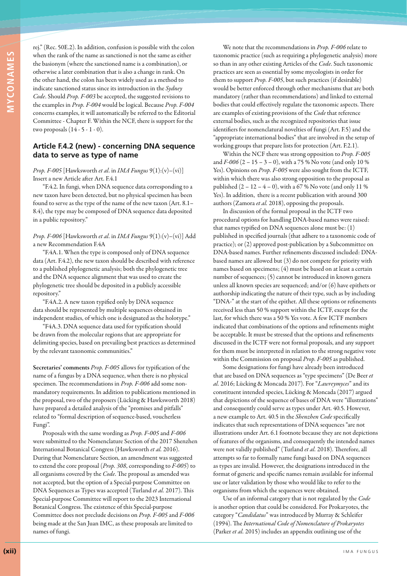rej." (Rec. 50E.2). In addition, confusion is possible with the colon when the rank of the name as sanctioned is not the same as either the basionym (where the sanctioned name is a combination), or otherwise a later combination that is also a change in rank. On the other hand, the colon has been widely used as a method to indicate sanctioned status since its introduction in the *Sydney Code*. Should *Prop. F-003* be accepted, the suggested revisions to the examples in *Prop. F-004* would be logical. Because *Prop. F-004* concerns examples, it will automatically be referred to the Editorial Committee - Chapter F. Within the NCF, there is support for the two proposals (14 - 5 - 1 - 0).

### **Article F.4.2 (new) - concerning DNA sequence data to serve as type of name**

#### *Prop. F-005* [Hawksworth *et al*. in *IMA Fungus* 9(1):(v)–(vi)] Insert a new Article after Art. F.4.1

"F.4.2. In fungi, when DNA sequence data corresponding to a new taxon have been detected, but no physical specimen has been found to serve as the type of the name of the new taxon (Art. 8.1– 8.4), the type may be composed of DNA sequence data deposited in a public repository."

*Prop. F-006* [Hawksworth *et al*. in *IMA Fungus* 9(1):(v)–(vi)] Add a new Recommendation F.4A

"F.4A.1. When the type is composed only of DNA sequence data (Art. F.4.2), the new taxon should be described with reference to a published phylogenetic analysis; both the phylogenetic tree and the DNA sequence alignment that was used to create the phylogenetic tree should be deposited in a publicly accessible repository."

"F.4A.2. A new taxon typified only by DNA sequence data should be represented by multiple sequences obtained in independent studies, of which one is designated as the holotype."

"F4A.3. DNA sequence data used for typification should be drawn from the molecular regions that are appropriate for delimiting species, based on prevailing best practices as determined by the relevant taxonomic communities."

**Secretaries' comments** *Prop. F-005* allows for typification of the name of a fungus by a DNA sequence, when there is no physical specimen. The recommendations in *Prop. F-006* add some nonmandatory requirements. In addition to publications mentioned in the proposal, two of the proposers (Lücking & Hawksworth 2018) have prepared a detailed analysis of the "promises and pitfalls" related to "formal description of sequence-based, voucherless Fungi".

Proposals with the same wording as *Prop. F-005* and *F-006* were submitted to the Nomenclature Section of the 2017 Shenzhen International Botanical Congress (Hawksworth *et al.* 2016). During that Nomenclature Section, an amendment was suggested to extend the core proposal (*Prop. 308*, corresponding to *F-005*) to all organisms covered by the *Code*. The proposal as amended was not accepted, but the option of a Special-purpose Committee on DNA Sequences as Types was accepted (Turland *et al.* 2017). This Special-purpose Committee will report to the 2023 International Botanical Congress. The existence of this Special-purpose Committee does not preclude decisions on *Prop. F-005* and *F-006*  being made at the San Juan IMC, as these proposals are limited to names of fungi.

We note that the recommendations in *Prop. F-006* relate to taxonomic practice (such as requiring a phylogenetic analysis) more so than in any other existing Articles of the *Code*. Such taxonomic practices are seen as essential by some mycologists in order for them to support *Prop. F-005*, but such practices (if desirable) would be better enforced through other mechanisms that are both mandatory (rather than recommendations) and linked to external bodies that could effectively regulate the taxonomic aspects. There are examples of existing provisions of the *Code* that reference external bodies, such as the recognized repositories that issue identifiers for nomenclatural novelties of fungi (Art. F.5) and the "appropriate international bodies" that are involved in the setup of working groups that prepare lists for protection (Art. F.2.1).

Within the NCF there was strong opposition to *Prop. F-005* and *F-006* (2 – 15 – 3 – 0), with a 75 % No vote (and only 10 % Yes). Opinions on *Prop. F-005* were also sought from the ICTF, within which there was also strong opposition to the proposal as published  $(2 - 12 - 4 - 0)$ , with a 67 % No vote (and only 11 % Yes). In addition, there is a recent publication with around 300 authors (Zamora *et al.* 2018), opposing the proposals.

In discussion of the formal proposal in the ICTF two procedural options for handling DNA-based names were raised: that names typified on DNA sequences alone must be: (1) published in specified journals (that adhere to a taxonomic code of practice); or (2) approved post-publication by a Subcommittee on DNA-based names. Further refinements discussed included: DNAbased names are allowed but (3) do not compete for priority with names based on specimens; (4) must be based on at least a certain number of sequences; (5) cannot be introduced in known genera unless all known species are sequenced; and/or (6) have epithets or authorship indicating the nature of their type, such as by including "DNA-" at the start of the epithet. All these options or refinements received less than 50 % support within the ICTF, except for the last, for which there was a 50 % Yes vote. A few ICTF members indicated that combinations of the options and refinements might be acceptable. It must be stressed that the options and refinements discussed in the ICTF were not formal proposals, and any support for them must be interpreted in relation to the strong negative vote within the Commission on proposal *Prop. F-005* as published.

Some designations for fungi have already been introduced that are based on DNA sequences as "type specimens" (De Beer *et al.* 2016; Lücking & Moncada 2017). For "*Lawreymyces*" and its constituent intended species, Lücking & Moncada (2017) argued that depictions of the sequence of bases of DNA were "illustrations" and consequently could serve as types under Art. 40.5. However, a new example to Art. 40.5 in the *Shenzhen Code* specifically indicates that such representations of DNA sequences "are not illustrations under Art. 6.1 footnote because they are not depictions of features of the organisms, and consequently the intended names were not validly published" (Turland *et al.* 2018). Therefore, all attempts so far to formally name fungi based on DNA sequences as types are invalid. However, the designations introduced in the format of generic and specific names remain available for informal use or later validation by those who would like to refer to the organisms from which the sequences were obtained.

Use of an informal category that is not regulated by the *Code* is another option that could be considered. For Prokaryotes, the category "*Candidatus*" was introduced by Murray & Schleifer (1994). The *International Code of Nomenclature of Prokaryotes* (Parker *et al.* 2015) includes an appendix outlining use of the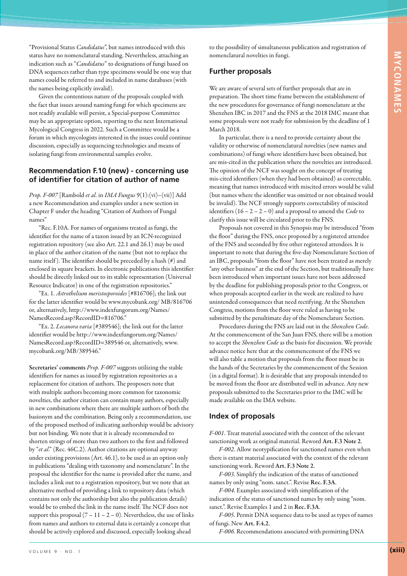"Provisional Status *Candidatus*", but names introduced with this status have no nomenclatural standing. Nevertheless, attaching an indication such as "*Candidatus*" to designations of fungi based on DNA sequences rather than type specimens would be one way that names could be referred to and included in name databases (with the names being explicitly invalid).

Given the contentious nature of the proposals coupled with the fact that issues around naming fungi for which specimens are not readily available will persist, a Special-purpose Committee may be an appropriate option, reporting to the next International Mycological Congress in 2022. Such a Committee would be a forum in which mycologists interested in the issues could continue discussion, especially as sequencing technologies and means of isolating fungi from environmental samples evolve.

### **Recommendation F.10 (new) - concerning use of identifier for citation of author of name**

*Prop. F-007* [Rambold *et al.* in *IMA Fungus* 9(1):(vi)–(vii)] Add a new Recommendation and examples under a new section in Chapter F under the heading "Citation of Authors of Fungal names"

"Rec. F.10A. For names of organisms treated as fungi, the identifier for the name of a taxon issued by an ICN-recognized registration repository (see also Art. 22.1 and 26.1) may be used in place of the author citation of the name (but not to replace the name itself ). The identifier should be preceded by a hash (#) and enclosed in square brackets. In electronic publications this identifier should be directly linked out to its stable representation (Universal Resource Indicator) in one of the registration repositories."

"Ex. 1. *Astrothelium meristosporoides* [#816706]; the link out for the latter identifier would be www.mycobank.org/ MB/816706 or, alternatively, http://www.indexfungorum.org/Names/ NamesRecord.asp?RecordID=816706."

"Ex. 2. *Lecanora varia* [#389546]; the link out for the latter identifier would be http://www.indexfungorum.org/Names/ NamesRecord.asp?RecordID=389546 or, alternatively, www. mycobank.org/MB/389546."

**Secretaries' comments** *Prop. F-007* suggests utilizing the stable identifiers for names as issued by registration repositories as a replacement for citation of authors. The proposers note that with multiple authors becoming more common for taxonomic novelties, the author citation can contain many authors, especially in new combinations where there are multiple authors of both the basionym and the combination. Being only a recommendation, use of the proposed method of indicating authorship would be advisory but not binding. We note that it is already recommended to shorten strings of more than two authors to the first and followed by "*et al*." (Rec. 46C.2). Author citations are optional anyway under existing provisions (Art. 46.1), to be used as an option only in publications "dealing with taxonomy and nomenclature". In the proposal the identifier for the name is provided after the name, and includes a link out to a registration repository, but we note that an alternative method of providing a link to repository data (which contains not only the authorship but also the publication details) would be to embed the link in the name itself. The NCF does not support this proposal  $(7 - 11 - 2 - 0)$ . Nevertheless, the use of links from names and authors to external data is certainly a concept that should be actively explored and discussed, especially looking ahead

to the possibility of simultaneous publication and registration of nomenclatural novelties in fungi.

### **Further proposals**

We are aware of several sets of further proposals that are in preparation. The short time frame between the establishment of the new procedures for governance of fungi nomenclature at the Shenzhen IBC in 2017 and the FNS at the 2018 IMC meant that some proposals were not ready for submission by the deadline of 1 March 2018.

In particular, there is a need to provide certainty about the validity or otherwise of nomenclatural novelties (new names and combinations) of fungi where identifiers have been obtained, but are mis-cited in the publication where the novelties are introduced. The opinion of the NCF was sought on the concept of treating mis-cited identifiers (when they had been obtained) as correctable, meaning that names introduced with miscited errors would be valid (but names where the identifier was omitted or not obtained would be invalid). The NCF strongly supports correctability of miscited identifiers (16 – 2 – 2 – 0) and a proposal to amend the *Code* to clarify this issue will be circulated prior to the FNS.

Proposals not covered in this Synopsis may be introduced "from the floor" during the FNS, once proposed by a registered attendee of the FNS and seconded by five other registered attendees. It is important to note that during the five-day Nomenclature Section of an IBC, proposals "from the floor" have not been treated as merely "any other business" at the end of the Section, but traditionally have been introduced when important issues have not been addressed by the deadline for publishing proposals prior to the Congress, or when proposals accepted earlier in the week are realized to have unintended consequences that need rectifying. At the Shenzhen Congress, motions from the floor were ruled as having to be submitted by the penultimate day of the Nomenclature Section.

Procedures during the FNS are laid out in the *Shenzhen Code*. At the commencement of the San Juan FNS, there will be a motion to accept the *Shenzhen Code* as the basis for discussion. We provide advance notice here that at the commencement of the FNS we will also table a motion that proposals from the floor must be in the hands of the Secretaries by the commencement of the Session (in a digital format). It is desirable that any proposals intended to be moved from the floor are distributed well in advance. Any new proposals submitted to the Secretaries prior to the IMC will be made available on the IMA website.

## **Index of proposals**

*F-001*. Treat material associated with the context of the relevant sanctioning work as original material. Reword **Art. F.3 Note 2**.

*F-002*. Allow neotypification for sanctioned names even when there is extant material associated with the context of the relevant sanctioning work. Reword **Art. F.3 Note 2**.

*F-003*. Simplify the indication of the status of sanctioned names by only using "nom. sanct.". Revise **Rec. F.3A**.

*F-004.* Examples associated with simplification of the indication of the status of sanctioned names by only using "nom. sanct.". Revise Examples 1 and 2 in **Rec. F.3A**.

*F-005*. Permit DNA sequence data to be used as types of names of fungi. New **Art. F.4.2**.

*F-006*. Recommendations associated with permitting DNA